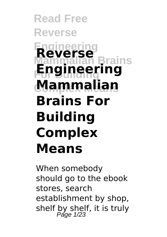#### **Read Free Reverse Engineering Mammalian Brains For Building Engineering Complex Means Mammalian Reverse Brains For Building Complex Means**

When somebody should go to the ebook stores, search establishment by shop, shelf by shelf, it is truly<br>Page  $1/23$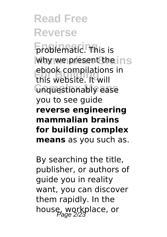**Engineering** Engineering why we present the ins **For Building** this website. It will **Complex Means** unquestionably ease ebook compilations in you to see guide **reverse engineering mammalian brains for building complex means** as you such as.

By searching the title, publisher, or authors of guide you in reality want, you can discover them rapidly. In the house, workplace, or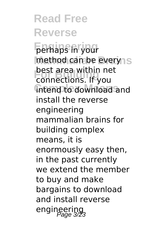**Read Free Reverse Engineering** perhaps in your method can be everyns **For Building** connections. If you intend to download and best area within net install the reverse engineering mammalian brains for building complex means, it is enormously easy then, in the past currently we extend the member to buy and make bargains to download and install reverse engineering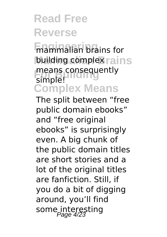**Engineering** mammalian brains for building complex rains means consequently<br>simple! **Complex Means** simple!

The split between "free public domain ebooks" and "free original ebooks" is surprisingly even. A big chunk of the public domain titles are short stories and a lot of the original titles are fanfiction. Still, if you do a bit of digging around, you'll find some interesting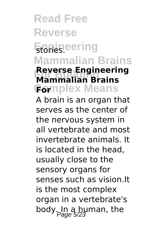**Read Free Reverse** Engineering **Mammalian Brains Reverse Engineering**<br>Mammalian Brains **Complex Means For Mammalian Brains** A brain is an organ that serves as the center of the nervous system in all vertebrate and most invertebrate animals. It is located in the head, usually close to the sensory organs for senses such as vision.It is the most complex organ in a vertebrate's body. In a human, the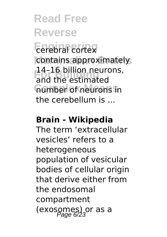#### **Read Free Reverse Enferred** cortex contains approximately, 14–16 billion neurons,<br>and the estimated **Complex Means** number of neurons in and the estimated the cerebellum is ...

#### **Brain - Wikipedia**

The term 'extracellular vesicles' refers to a heterogeneous population of vesicular bodies of cellular origin that derive either from the endosomal compartment (exosomes) or as a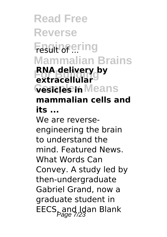**Read Free Reverse Engineering** result of ... **Mammalian Brains EXTRACE BUILDING Cesicles in Means RNA delivery by mammalian cells and its ...** We are reverseengineering the brain to understand the mind. Featured News. What Words Can Convey. A study led by then-undergraduate Gabriel Grand, now a graduate student in EECS<sub>pand</sub> Idan Blank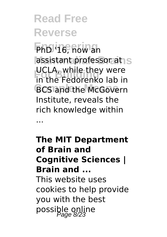**Read Free Reverse Engineering** PhD '16, now an assistant professor at S **For Building**<br>**in the Fedorenko lab in BCS and the McGovern** UCLA, while they were Institute, reveals the rich knowledge within ...

**The MIT Department of Brain and Cognitive Sciences | Brain and ...** This website uses cookies to help provide you with the best possible online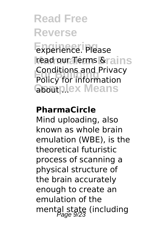**Engineering** experience. Please **read our Terms & rains For Building** Policy for information Gooutplex Means Conditions and Privacy

#### **PharmaCircle**

Mind uploading, also known as whole brain emulation (WBE), is the theoretical futuristic process of scanning a physical structure of the brain accurately enough to create an emulation of the mental state (including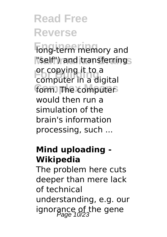**Fong-term memory and Mammalian Brains** "self") and transferring or copying it to a<br>computer in a digital form. The computer or copying it to a would then run a simulation of the brain's information processing, such ...

#### **Mind uploading - Wikipedia**

The problem here cuts deeper than mere lack of technical understanding, e.g. our ignorance of the gene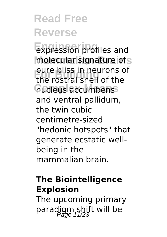**Engineering** expression profiles and molecular signature of s pure buss in neurons of<br>the rostral shell of the **Complex Means** nucleus accumbens pure bliss in neurons of and ventral pallidum, the twin cubic centimetre-sized "hedonic hotspots" that generate ecstatic wellbeing in the mammalian brain.

#### **The Biointelligence Explosion**

The upcoming primary paradigm shift will be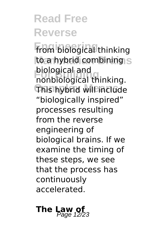**Engineering** from biological thinking to a hybrid combining s **For Building** nonbiological thinking. **Complex Means** This hybrid will include biological and "biologically inspired" processes resulting from the reverse engineering of biological brains. If we examine the timing of these steps, we see that the process has continuously accelerated.

# **The Law of**  $\frac{1}{2}$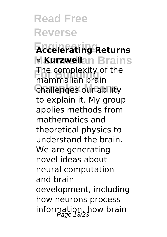**Read Free Reverse Engineering Accelerating Returns k Kurzweilan Brains The complexity of the**<br>mammalian brain **Challenges our ability** mammalian brain to explain it. My group applies methods from mathematics and theoretical physics to understand the brain. We are generating novel ideas about neural computation and brain development, including how neurons process information, how brain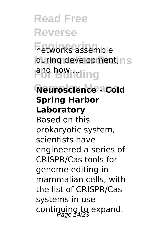**Engineering** networks assemble during development, ns **For Building** 

**Complex Means Neuroscience - Cold Spring Harbor Laboratory** Based on this prokaryotic system, scientists have engineered a series of CRISPR/Cas tools for genome editing in mammalian cells, with the list of CRISPR/Cas systems in use continuing to expand.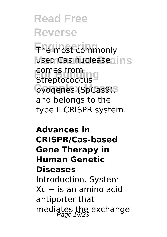**Read Free Reverse Engineering** The most commonly used Cas nucleaseains cornes from<br>Streptococcus<sup>9</sup> pyogenes (SpCas9), comes from and belongs to the type II CRISPR system.

**Advances in CRISPR/Cas-based Gene Therapy in Human Genetic Diseases** Introduction. System Xc − is an amino acid antiporter that mediates the exchange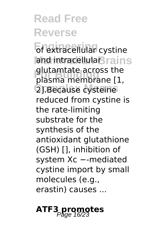**Engineering** of extracellular cystine **and intracellulaBrains** glutamtate across the<br>plasma membrane [1 2].Because cysteine plasma membrane [1, reduced from cystine is the rate-limiting substrate for the synthesis of the antioxidant glutathione (GSH) [], inhibition of system Xc --mediated cystine import by small molecules (e.g., erastin) causes ...

## **ATF3 promotes**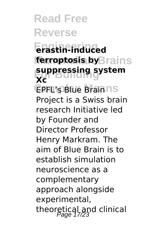**Read Free Reverse Engineering erastin-induced ferroptosis by**Brains **For Building suppressing system EPFL's Blue Brain IS Xc** Project is a Swiss brain research Initiative led by Founder and Director Professor Henry Markram. The aim of Blue Brain is to establish simulation neuroscience as a complementary approach alongside experimental, theoretical and clinical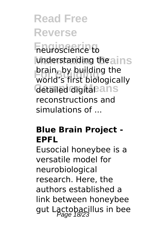**Engineering** neuroscience to understanding the ains **For Building** world's first biologically detailed digitaeans brain, by building the reconstructions and simulations of ...

#### **Blue Brain Project ‐ EPFL**

Eusocial honeybee is a versatile model for neurobiological research. Here, the authors established a link between honeybee gut Lactobacillus in bee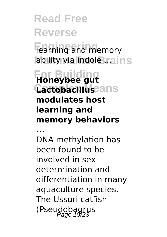**Fearning and memory ability via indole rains** 

#### **For Building Honeybee gut Cactobacilluseans modulates host learning and memory behaviors**

**...**

DNA methylation has been found to be involved in sex determination and differentiation in many aquaculture species. The Ussuri catfish (Pseudobagrus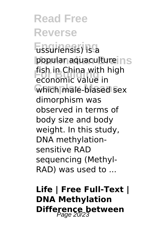**Read Free Reverse Engineering** ussuriensis) is a popular aquaculture ns **For Building** economic value in **Complex Means** which male-biased sex fish in China with high dimorphism was observed in terms of body size and body weight. In this study, DNA methylationsensitive RAD sequencing (Methyl-RAD) was used to ...

**Life | Free Full-Text | DNA Methylation Difference between**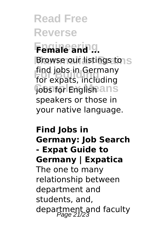**Read Free Reverse Engineering Female and ... Browse our listings to S For Building** for expats, including **Jobs for Englishans** find jobs in Germany speakers or those in your native language.

#### **Find Jobs in Germany: Job Search - Expat Guide to Germany | Expatica** The one to many relationship between department and students, and, department and faculty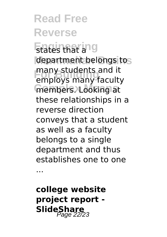**Read Free Reverse** Etates that ang department belongs to **Four Building**<br>
employs many faculty members. Looking at many students and it these relationships in a reverse direction conveys that a student as well as a faculty belongs to a single department and thus establishes one to one

...

**college website project report - SlideShare**<br>Page 22/23